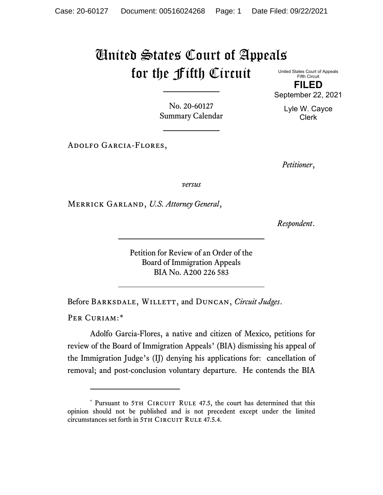## United States Court of Appeals for the Fifth Circuit

United States Court of Appeals Fifth Circuit **FILED** September 22, 2021

> Lyle W. Cayce Clerk

No. 20-60127 Summary Calendar

Adolfo Garcia-Flores,

*Petitioner*,

*versus*

Merrick Garland, *U.S. Attorney General*,

*Respondent*.

Petition for Review of an Order of the Board of Immigration Appeals BIA No. A200 226 583

Before Barksdale, Willett, and Duncan, *Circuit Judges*.

PER CURIAM:[\\*](#page-0-0)

Adolfo Garcia-Flores, a native and citizen of Mexico, petitions for review of the Board of Immigration Appeals' (BIA) dismissing his appeal of the Immigration Judge's (IJ) denying his applications for: cancellation of removal; and post-conclusion voluntary departure. He contends the BIA

<span id="page-0-0"></span><sup>\*</sup> Pursuant to 5TH CIRCUIT RULE 47.5, the court has determined that this opinion should not be published and is not precedent except under the limited circumstances set forth in 5TH CIRCUIT RULE 47.5.4.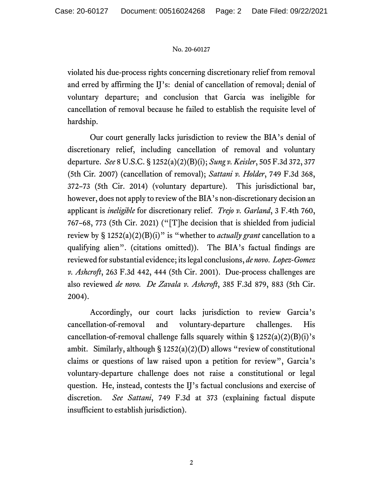## No. 20-60127

violated his due-process rights concerning discretionary relief from removal and erred by affirming the IJ's: denial of cancellation of removal; denial of voluntary departure; and conclusion that Garcia was ineligible for cancellation of removal because he failed to establish the requisite level of hardship.

Our court generally lacks jurisdiction to review the BIA's denial of discretionary relief, including cancellation of removal and voluntary departure. *See* 8 U.S.C. § 1252(a)(2)(B)(i); *Sung v. Keisler*, 505 F.3d 372, 377 (5th Cir*.* 2007) (cancellation of removal); *Sattani v. Holder*, 749 F.3d 368, 372–73 (5th Cir. 2014) (voluntary departure). This jurisdictional bar, however, does not apply to review of the BIA's non-discretionary decision an applicant is *ineligible* for discretionary relief. *Trejo v. Garland*, 3 F.4th 760, 767–68, 773 (5th Cir. 2021) ("[T]he decision that is shielded from judicial review by § 1252(a)(2)(B)(i)" is "whether to *actually grant* cancellation to a qualifying alien". (citations omitted)). The BIA's factual findings are reviewed for substantial evidence; its legal conclusions, *de novo*. *Lopez-Gomez v. Ashcroft*, 263 F.3d 442, 444 (5th Cir. 2001). Due-process challenges are also reviewed *de novo. De Zavala v. Ashcroft*, 385 F.3d 879, 883 (5th Cir. 2004).

Accordingly, our court lacks jurisdiction to review Garcia's cancellation-of-removal and voluntary-departure challenges. His cancellation-of-removal challenge falls squarely within  $\S 1252(a)(2)(B)(i)$ 's ambit. Similarly, although  $\S 1252(a)(2)(D)$  allows "review of constitutional claims or questions of law raised upon a petition for review", Garcia's voluntary-departure challenge does not raise a constitutional or legal question. He, instead, contests the IJ's factual conclusions and exercise of discretion. *See Sattani*, 749 F.3d at 373 (explaining factual dispute insufficient to establish jurisdiction).